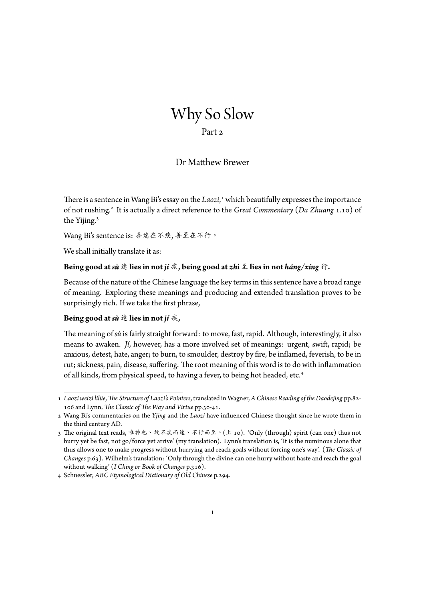# Why So Slow

# Part 2

# Dr Matthew Brewer

There is a sentence in Wang Bi's essay on the *Laozi*,<sup>1</sup> which beautifully expresses the importance of not rushing.<sup>2</sup> It is actually a direct reference to the *Great Commentary* (Da Zhuang 1.10) of the Yijing.<sup>3</sup>

Wang Bi's sentence is: 善速在不疾, 善至在不行。

We shall initially translate it as:

#### **Being good at** *sù* 速 **lies in not** *jí* 疾**, being good at** *zhì* 至 **lies in not** *háng/xíng* 行**.**

Because of the nature of the Chinese language the key terms in this sentence have a broad range of meaning. Exploring these meanings and producing and extended translation proves to be surprisingly rich. If we take the first phrase,

#### **Being good at** *sù* 速 **lies in not** *jí* 疾**,**

The meaning of *sù* is fairly straight forward: to move, fast, rapid. Although, interestingly, it also means to awaken. *Jí*, however, has a more involved set of meanings: urgent, swift, rapid; be anxious, detest, hate, anger; to burn, to smoulder, destroy by fire, be inflamed, feverish, to be in rut; sickness, pain, disease, suffering. The root meaning of this word is to do with inflammation of all kinds, from physical speed, to having a fever, to being hot headed, etc.<sup>4</sup>

<sup>1</sup> *Laozi weizi lilüe*, *The Structure of Laozi's Pointers*, translated in Wagner, *A Chinese Reading of the Daodejing* pp.82- 106 and Lynn, *The Classic of The Way and Virtue* pp.30-41.

<sup>2</sup> Wang Bi's commentaries on the *Yjing* and the *Laozi* have influenced Chinese thought since he wrote them in the third century AD.

<sup>3</sup> The original text reads, 唯神也、故不疾而速、不行而至。(上 10). 'Only (through) spirit (can one) thus not hurry yet be fast, not go/force yet arrive' (my translation). Lynn's translation is, 'It is the numinous alone that thus allows one to make progress without hurrying and reach goals without forcing one's way'. (*The Classic of Changes* p.63). Wilhelm's translation: 'Only through the divine can one hurry without haste and reach the goal without walking' (*I Ching or Book of Changes* p.316).

<sup>4</sup> Schuessler, *ABC Etymological Dictionary of Old Chinese* p.294.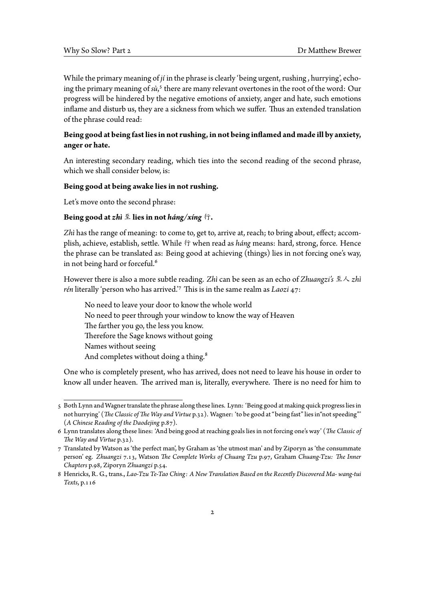While the primary meaning of *jí* in the phrase is clearly 'being urgent, rushing , hurrying', echoing the primary meaning of sù,<sup>5</sup> there are many relevant overtones in the root of the word: Our progress will be hindered by the negative emotions of anxiety, anger and hate, such emotions inflame and disturb us, they are a sickness from which we suffer. Thus an extended translation of the phrase could read:

## **Being good at beingfast lies in not rushing, in not being inflamed and made ill by anxiety, anger or hate.**

An interesting secondary reading, which ties into the second reading of the second phrase, which we shall consider below, is:

#### **Being good at being awake lies in not rushing.**

Let's move onto the second phrase:

#### **Being good at** *zhì* 至 **lies in not** *háng/xíng* 行**.**

*Zhì* has the range of meaning: to come to, get to, arrive at, reach; to bring about, effect; accomplish, achieve, establish, settle. While 行 when read as *háng* means: hard, strong, force. Hence the phrase can be translated as: Being good at achieving (things) lies in not forcing one's way, in not being hard or forceful.<sup>6</sup>

However there is also a more subtle reading. *Zhì* can be seen as an echo of *Zhuangzi's* 至人 *zhì rén* literally 'person who has arrived.'<sup>7</sup> This is in the same realm as *Laozi* 47:

No need to leave your door to know the whole world No need to peer through your window to know the way of Heaven The farther you go, the less you know. Therefore the Sage knows without going Names without seeing And completes without doing a thing.<sup>8</sup>

One who is completely present, who has arrived, does not need to leave his house in order to know all under heaven. The arrived man is, literally, everywhere. There is no need for him to

<sup>5</sup> Both Lynn and Wagner translate the phrase along these lines. Lynn: 'Being good at making quick progress lies in not hurrying' (*The Classic ofThe Way and Virtue* p.32). Wagner: 'to be good at "being fast" lies in"not speeding"' (*A Chinese Reading of the Daodejing* p.87).

<sup>6</sup> Lynn translates along these lines: 'And being good at reaching goals lies in not forcing one's way' (*The Classic of The Way and Virtue* p.32).

<sup>7</sup> Translated by Watson as 'the perfect man', by Graham as 'the utmost man' and by Ziporyn as 'the consummate person' eg. *Zhuangzi* 7.13, Watson *The Complete Works of Chuang Tzu* p.97, Graham *Chuang-Tzu: The Inner Chapters* p.98, Ziporyn *Zhuangzi* p.54.

<sup>8</sup> Henricks, R. G., trans., *Lao-Tzu Te-Tao Ching: A New Translation Based on the Recently Discovered Ma- wang-tui Texts*, p.116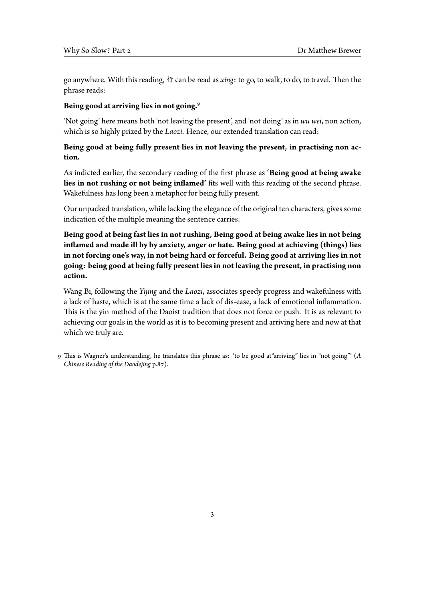go anywhere. With this reading, 行 can be read as *xíng*: to go, to walk, to do, to travel. Then the phrase reads:

#### **Being good at arriving lies in not going.**<sup>Ǒ</sup>

'Not going' here means both 'not leaving the present', and 'not doing' as in *wu wei*, non action, which is so highly prized by the *Laozi*. Hence, our extended translation can read:

## **Being good at being fully present lies in not leaving the present, in practising non action.**

As indicted earlier, the secondary reading of the first phrase as **'Being good at being awake lies in not rushing or not being inflamed'** fits well with this reading of the second phrase. Wakefulness has long been a metaphor for being fully present.

Our unpacked translation, while lacking the elegance of the original ten characters, gives some indication of the multiple meaning the sentence carries:

**Being good at being fast lies in not rushing, Being good at being awake lies in not being inflamed and made ill by by anxiety, anger or hate. Being good at achieving (things) lies in not forcing one's way, in not being hard or forceful. Being good at arriving lies in not going: being good at being fully present lies in not leaving the present, in practising non action.**

Wang Bi, following the *Yijing* and the *Laozi*, associates speedy progress and wakefulness with a lack of haste, which is at the same time a lack of dis-ease, a lack of emotional inflammation. This is the yin method of the Daoist tradition that does not force or push. It is as relevant to achieving our goals in the world as it is to becoming present and arriving here and now at that which we truly are.

<sup>9</sup> This is Wagner's understanding, he translates this phrase as: 'to be good at"arriving" lies in "not going"' (*A Chinese Reading of the Daodejing* p.87).